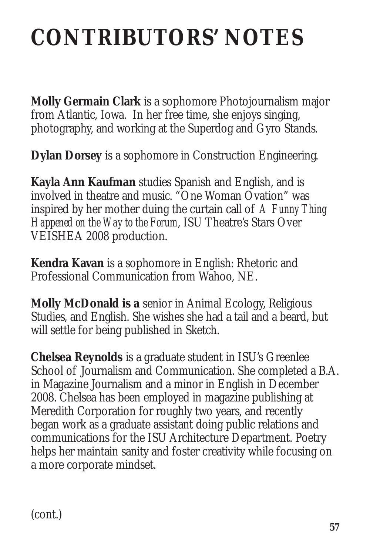## **CONTRIBUTORS' NOTES**

**Molly Germain Clark** is a sophomore Photojournalism major from Atlantic, Iowa. In her free time, she enjoys singing, photography, and working at the Superdog and Gyro Stands.

**Dylan Dorsey** is a sophomore in Construction Engineering.

**Kayla Ann Kaufman** studies Spanish and English, and is involved in theatre and music. "One Woman Ovation" was inspired by her mother duing the curtain call of *A Funny Thing Happened on the Way to the Forum*, ISU Theatre's Stars Over VEISHEA 2008 production.

**Kendra Kavan** is a sophomore in English: Rhetoric and Professional Communication from Wahoo, NE.

**Molly McDonald is a** senior in Animal Ecology, Religious Studies, and English. She wishes she had a tail and a beard, but will settle for being published in Sketch.

**Chelsea Reynolds** is a graduate student in ISU's Greenlee School of Journalism and Communication. She completed a B.A. in Magazine Journalism and a minor in English in December 2008. Chelsea has been employed in magazine publishing at Meredith Corporation for roughly two years, and recently began work as a graduate assistant doing public relations and communications for the ISU Architecture Department. Poetry helps her maintain sanity and foster creativity while focusing on a more corporate mindset.

(cont.)